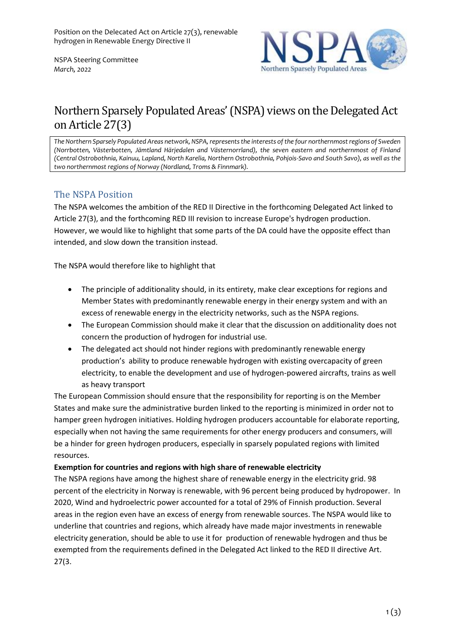NSPA Steering Committee *March, 2022*



# Northern Sparsely Populated Areas' (NSPA) views on the Delegated Act on Article 27(3)

*The Northern Sparsely Populated Areas network, NSPA, represents the interests of the four northernmost regions of Sweden (Norrbotten, Västerbotten, Jämtland Härjedalen and Västernorrland), the seven eastern and northernmost of Finland (Central Ostrobothnia, Kainuu, Lapland, North Karelia, Northern Ostrobothnia, Pohjois-Savo and South Savo), as well as the two northernmost regions of Norway (Nordland, Troms & Finnmark).*

## The NSPA Position

The NSPA welcomes the ambition of the RED II Directive in the forthcoming Delegated Act linked to Article 27(3), and the forthcoming RED III revision to increase Europe's hydrogen production. However, we would like to highlight that some parts of the DA could have the opposite effect than intended, and slow down the transition instead.

The NSPA would therefore like to highlight that

- The principle of additionality should, in its entirety, make clear exceptions for regions and Member States with predominantly renewable energy in their energy system and with an excess of renewable energy in the electricity networks, such as the NSPA regions.
- The European Commission should make it clear that the discussion on additionality does not concern the production of hydrogen for industrial use.
- The delegated act should not hinder regions with predominantly renewable energy production's ability to produce renewable hydrogen with existing overcapacity of green electricity, to enable the development and use of hydrogen-powered aircrafts, trains as well as heavy transport

The European Commission should ensure that the responsibility for reporting is on the Member States and make sure the administrative burden linked to the reporting is minimized in order not to hamper green hydrogen initiatives. Holding hydrogen producers accountable for elaborate reporting, especially when not having the same requirements for other energy producers and consumers, will be a hinder for green hydrogen producers, especially in sparsely populated regions with limited resources.

### **Exemption for countries and regions with high share of renewable electricity**

The NSPA regions have among the highest share of renewable energy in the electricity grid. 98 percent of the electricity in Norway is renewable, with 96 percent being produced by hydropower. In 2020, Wind and hydroelectric power accounted for a total of 29% of Finnish production. Several areas in the region even have an excess of energy from renewable sources. The NSPA would like to underline that countries and regions, which already have made major investments in renewable electricity generation, should be able to use it for production of renewable hydrogen and thus be exempted from the requirements defined in the Delegated Act linked to the RED II directive Art. 27(3.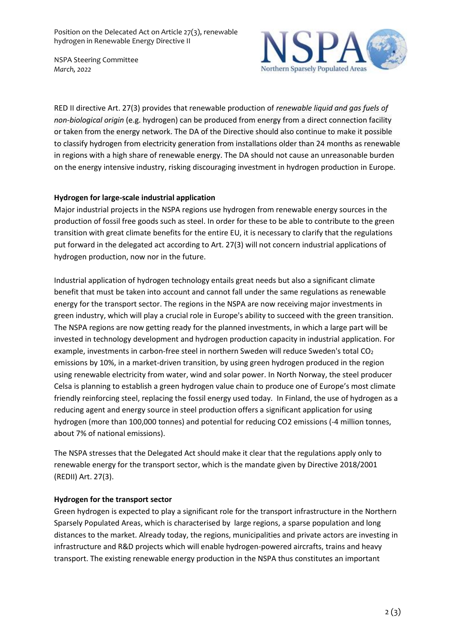Position on the Delecated Act on Article 27(3), renewable hydrogen in Renewable Energy Directive II

NSPA Steering Committee *March, 2022*



RED II directive Art. 27(3) provides that renewable production of *renewable liquid and gas fuels of non-biological origin* (e.g. hydrogen) can be produced from energy from a direct connection facility or taken from the energy network. The DA of the Directive should also continue to make it possible to classify hydrogen from electricity generation from installations older than 24 months as renewable in regions with a high share of renewable energy. The DA should not cause an unreasonable burden on the energy intensive industry, risking discouraging investment in hydrogen production in Europe.

### **Hydrogen for large-scale industrial application**

Major industrial projects in the NSPA regions use hydrogen from renewable energy sources in the production of fossil free goods such as steel. In order for these to be able to contribute to the green transition with great climate benefits for the entire EU, it is necessary to clarify that the regulations put forward in the delegated act according to Art. 27(3) will not concern industrial applications of hydrogen production, now nor in the future.

Industrial application of hydrogen technology entails great needs but also a significant climate benefit that must be taken into account and cannot fall under the same regulations as renewable energy for the transport sector. The regions in the NSPA are now receiving major investments in green industry, which will play a crucial role in Europe's ability to succeed with the green transition. The NSPA regions are now getting ready for the planned investments, in which a large part will be invested in technology development and hydrogen production capacity in industrial application. For example, investments in carbon-free steel in northern Sweden will reduce Sweden's total CO<sub>2</sub> emissions by 10%, in a market-driven transition, by using green hydrogen produced in the region using renewable electricity from water, wind and solar power. In North Norway, the steel producer Celsa is planning to establish a green hydrogen value chain to produce one of Europe's most climate friendly reinforcing steel, replacing the fossil energy used today. In Finland, the use of hydrogen as a reducing agent and energy source in steel production offers a significant application for using hydrogen (more than 100,000 tonnes) and potential for reducing CO2 emissions (-4 million tonnes, about 7% of national emissions).

The NSPA stresses that the Delegated Act should make it clear that the regulations apply only to renewable energy for the transport sector, which is the mandate given by Directive 2018/2001 (REDII) Art. 27(3).

### **Hydrogen for the transport sector**

Green hydrogen is expected to play a significant role for the transport infrastructure in the Northern Sparsely Populated Areas, which is characterised by large regions, a sparse population and long distances to the market. Already today, the regions, municipalities and private actors are investing in infrastructure and R&D projects which will enable hydrogen-powered aircrafts, trains and heavy transport. The existing renewable energy production in the NSPA thus constitutes an important